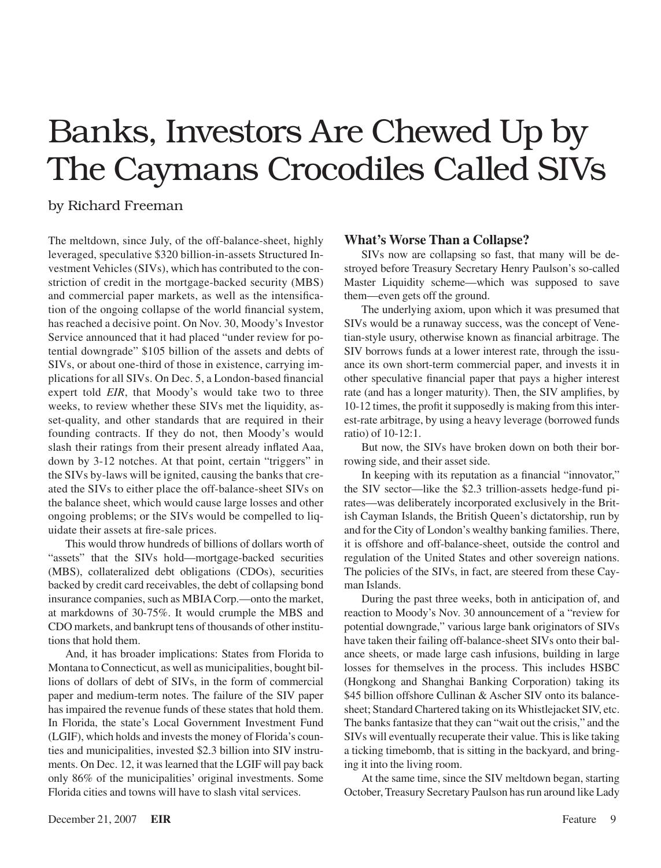# Banks, Investors Are Chewed Up by The Caymans Crocodiles Called SIVs

## by Richard Freeman

The meltdown, since July, of the off-balance-sheet, highly leveraged, speculative \$320 billion-in-assets Structured Investment Vehicles (SIVs), which has contributed to the constriction of credit in the mortgage-backed security (MBS) and commercial paper markets, as well as the intensification of the ongoing collapse of the world financial system, has reached a decisive point. On Nov. 30, Moody's Investor Service announced that it had placed "under review for potential downgrade" \$105 billion of the assets and debts of SIVs, or about one-third of those in existence, carrying implications for all SIVs. On Dec. 5, a London-based financial expert told *EIR*, that Moody's would take two to three weeks, to review whether these SIVs met the liquidity, asset-quality, and other standards that are required in their founding contracts. If they do not, then Moody's would slash their ratings from their present already inflated Aaa, down by 3-12 notches. At that point, certain "triggers" in the SIVs by-laws will be ignited, causing the banks that created the SIVs to either place the off-balance-sheet SIVs on the balance sheet, which would cause large losses and other ongoing problems; or the SIVs would be compelled to liquidate their assets at fire-sale prices.

This would throw hundreds of billions of dollars worth of "assets" that the SIVs hold—mortgage-backed securities (MBS), collateralized debt obligations (CDOs), securities backed by credit card receivables, the debt of collapsing bond insurance companies, such as MBIA Corp.—onto the market, at markdowns of 30-75%. It would crumple the MBS and CDO markets, and bankrupt tens of thousands of other institutions that hold them.

And, it has broader implications: States from Florida to Montana to Connecticut, as well as municipalities, bought billions of dollars of debt of SIVs, in the form of commercial paper and medium-term notes. The failure of the SIV paper has impaired the revenue funds of these states that hold them. In Florida, the state's Local Government Investment Fund (LGIF), which holds and invests the money of Florida's counties and municipalities, invested \$2.3 billion into SIV instruments. On Dec. 12, it was learned that the LGIF will pay back only 86% of the municipalities' original investments. Some Florida cities and towns will have to slash vital services.

#### **What's Worse Than a Collapse?**

SIVs now are collapsing so fast, that many will be destroyed before Treasury Secretary Henry Paulson's so-called Master Liquidity scheme—which was supposed to save them—even gets off the ground.

The underlying axiom, upon which it was presumed that SIVs would be a runaway success, was the concept of Venetian-style usury, otherwise known as financial arbitrage. The SIV borrows funds at a lower interest rate, through the issuance its own short-term commercial paper, and invests it in other speculative financial paper that pays a higher interest rate (and has a longer maturity). Then, the SIV amplifies, by 10-12 times, the profit it supposedly is making from this interest-rate arbitrage, by using a heavy leverage (borrowed funds ratio) of 10-12:1.

But now, the SIVs have broken down on both their borrowing side, and their asset side.

In keeping with its reputation as a financial "innovator," the SIV sector—like the \$2.3 trillion-assets hedge-fund pirates—was deliberately incorporated exclusively in the British Cayman Islands, the British Queen's dictatorship, run by and for the City of London's wealthy banking families. There, it is offshore and off-balance-sheet, outside the control and regulation of the United States and other sovereign nations. The policies of the SIVs, in fact, are steered from these Cayman Islands.

During the past three weeks, both in anticipation of, and reaction to Moody's Nov. 30 announcement of a "review for potential downgrade," various large bank originators of SIVs have taken their failing off-balance-sheet SIVs onto their balance sheets, or made large cash infusions, building in large losses for themselves in the process. This includes HSBC (Hongkong and Shanghai Banking Corporation) taking its \$45 billion offshore Cullinan & Ascher SIV onto its balancesheet; Standard Chartered taking on its Whistlejacket SIV, etc. The banks fantasize that they can "wait out the crisis," and the SIVs will eventually recuperate their value. This is like taking a ticking timebomb, that is sitting in the backyard, and bringing it into the living room.

At the same time, since the SIV meltdown began, starting October, Treasury Secretary Paulson has run around like Lady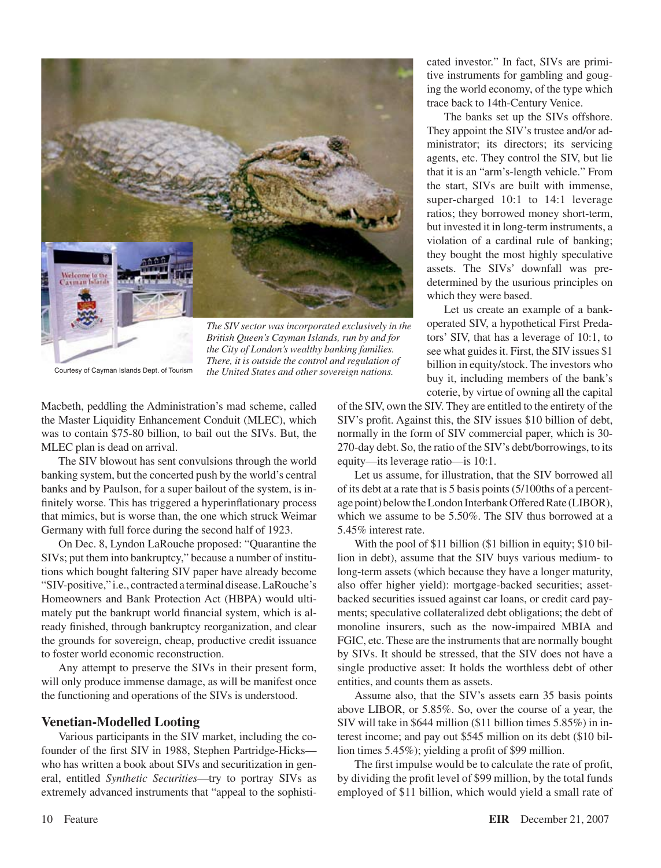

*There, it is outside the control and regulation of the United States and other sovereign nations.*

Courtesy of Cayman Islands Dept. of Tourism

Macbeth, peddling the Administration's mad scheme, called the Master Liquidity Enhancement Conduit (MLEC), which was to contain \$75-80 billion, to bail out the SIVs. But, the MLEC plan is dead on arrival.

The SIV blowout has sent convulsions through the world banking system, but the concerted push by the world's central banks and by Paulson, for a super bailout of the system, is infinitely worse. This has triggered a hyperinflationary process that mimics, but is worse than, the one which struck Weimar Germany with full force during the second half of 1923.

On Dec. 8, Lyndon LaRouche proposed: "Quarantine the SIVs; put them into bankruptcy," because a number of institutions which bought faltering SIV paper have already become "SIV-positive," i.e., contracted a terminal disease. LaRouche's Homeowners and Bank Protection Act (HBPA) would ultimately put the bankrupt world financial system, which is already finished, through bankruptcy reorganization, and clear the grounds for sovereign, cheap, productive credit issuance to foster world economic reconstruction.

Any attempt to preserve the SIVs in their present form, will only produce immense damage, as will be manifest once the functioning and operations of the SIVs is understood.

#### **Venetian-Modelled Looting**

Various participants in the SIV market, including the cofounder of the first SIV in 1988, Stephen Partridge-Hicks who has written a book about SIVs and securitization in general, entitled *Synthetic Securities*—try to portray SIVs as extremely advanced instruments that "appeal to the sophisticated investor." In fact, SIVs are primitive instruments for gambling and gouging the world economy, of the type which trace back to 14th-Century Venice.

The banks set up the SIVs offshore. They appoint the SIV's trustee and/or administrator; its directors; its servicing agents, etc. They control the SIV, but lie that it is an "arm's-length vehicle." From the start, SIVs are built with immense, super-charged 10:1 to 14:1 leverage ratios; they borrowed money short-term, but invested it in long-term instruments, a violation of a cardinal rule of banking; they bought the most highly speculative assets. The SIVs' downfall was predetermined by the usurious principles on which they were based.

Let us create an example of a bankoperated SIV, a hypothetical First Predators' SIV, that has a leverage of 10:1, to see what guides it. First, the SIV issues \$1 billion in equity/stock. The investors who buy it, including members of the bank's coterie, by virtue of owning all the capital

of the SIV, own the SIV. They are entitled to the entirety of the SIV's profit. Against this, the SIV issues \$10 billion of debt, normally in the form of SIV commercial paper, which is 30- 270-day debt. So, the ratio of the SIV's debt/borrowings, to its equity—its leverage ratio—is 10:1.

Let us assume, for illustration, that the SIV borrowed all of its debt at a rate that is 5 basis points (5/100ths of a percentage point) below the London Interbank Offered Rate (LIBOR), which we assume to be 5.50%. The SIV thus borrowed at a 5.45% interest rate.

With the pool of \$11 billion (\$1 billion in equity; \$10 billion in debt), assume that the SIV buys various medium- to long-term assets (which because they have a longer maturity, also offer higher yield): mortgage-backed securities; assetbacked securities issued against car loans, or credit card payments; speculative collateralized debt obligations; the debt of monoline insurers, such as the now-impaired MBIA and FGIC, etc. These are the instruments that are normally bought by SIVs. It should be stressed, that the SIV does not have a single productive asset: It holds the worthless debt of other entities, and counts them as assets.

Assume also, that the SIV's assets earn 35 basis points above LIBOR, or 5.85%. So, over the course of a year, the SIV will take in \$644 million (\$11 billion times 5.85%) in interest income; and pay out \$545 million on its debt (\$10 billion times 5.45%); yielding a profit of \$99 million.

The first impulse would be to calculate the rate of profit, by dividing the profit level of \$99 million, by the total funds employed of \$11 billion, which would yield a small rate of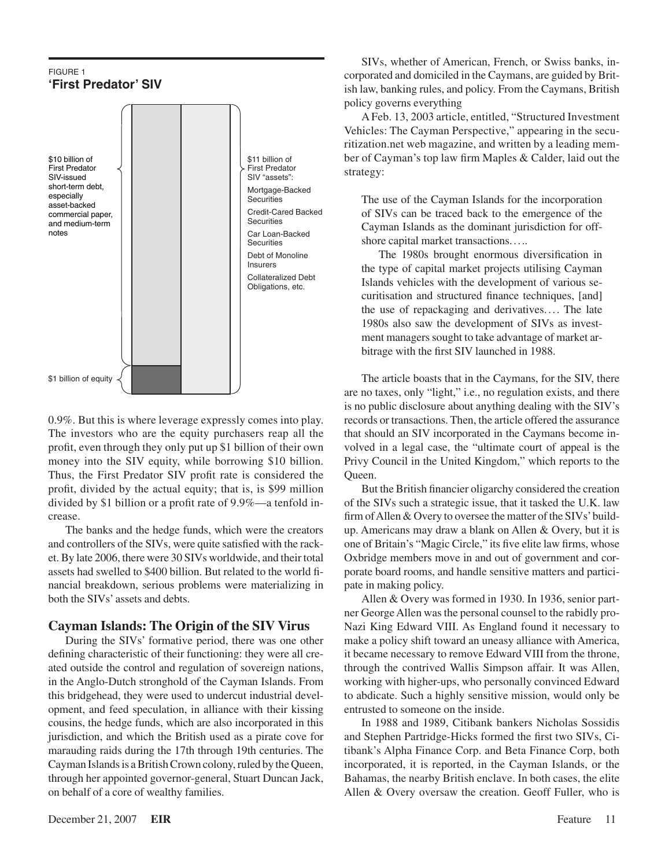

0.9%. But this is where leverage expressly comes into play. The investors who are the equity purchasers reap all the profit, even through they only put up \$1 billion of their own money into the SIV equity, while borrowing \$10 billion. Thus, the First Predator SIV profit rate is considered the profit, divided by the actual equity; that is, is \$99 million divided by \$1 billion or a profit rate of 9.9%—a tenfold increase.

The banks and the hedge funds, which were the creators and controllers of the SIVs, were quite satisfied with the racket. By late 2006, there were 30 SIVs worldwide, and their total assets had swelled to \$400 billion. But related to the world financial breakdown, serious problems were materializing in both the SIVs' assets and debts.

### **Cayman Islands: The Origin of the SIV Virus**

During the SIVs' formative period, there was one other defining characteristic of their functioning: they were all created outside the control and regulation of sovereign nations, in the Anglo-Dutch stronghold of the Cayman Islands. From this bridgehead, they were used to undercut industrial development, and feed speculation, in alliance with their kissing cousins, the hedge funds, which are also incorporated in this jurisdiction, and which the British used as a pirate cove for marauding raids during the 17th through 19th centuries. The Cayman Islands is a British Crown colony, ruled by the Queen, through her appointed governor-general, Stuart Duncan Jack, on behalf of a core of wealthy families.

SIVs, whether of American, French, or Swiss banks, incorporated and domiciled in the Caymans, are guided by British law, banking rules, and policy. From the Caymans, British policy governs everything

A Feb. 13, 2003 article, entitled, "Structured Investment Vehicles: The Cayman Perspective," appearing in the securitization.net web magazine, and written by a leading member of Cayman's top law firm Maples & Calder, laid out the strategy:

The use of the Cayman Islands for the incorporation of SIVs can be traced back to the emergence of the Cayman Islands as the dominant jurisdiction for offshore capital market transactions.....

The 1980s brought enormous diversification in the type of capital market projects utilising Cayman Islands vehicles with the development of various securitisation and structured finance techniques, [and] the use of repackaging and derivatives.... The late 1980s also saw the development of SIVs as investment managers sought to take advantage of market arbitrage with the first SIV launched in 1988.

The article boasts that in the Caymans, for the SIV, there are no taxes, only "light," i.e., no regulation exists, and there is no public disclosure about anything dealing with the SIV's records or transactions. Then, the article offered the assurance that should an SIV incorporated in the Caymans become involved in a legal case, the "ultimate court of appeal is the Privy Council in the United Kingdom," which reports to the Queen.

But the British financier oligarchy considered the creation of the SIVs such a strategic issue, that it tasked the U.K. law firm of Allen & Overy to oversee the matter of the SIVs' buildup. Americans may draw a blank on Allen & Overy, but it is one of Britain's "Magic Circle," its five elite law firms, whose Oxbridge members move in and out of government and corporate board rooms, and handle sensitive matters and participate in making policy.

Allen & Overy was formed in 1930. In 1936, senior partner George Allen was the personal counsel to the rabidly pro-Nazi King Edward VIII. As England found it necessary to make a policy shift toward an uneasy alliance with America, it became necessary to remove Edward VIII from the throne, through the contrived Wallis Simpson affair. It was Allen, working with higher-ups, who personally convinced Edward to abdicate. Such a highly sensitive mission, would only be entrusted to someone on the inside.

In 1988 and 1989, Citibank bankers Nicholas Sossidis and Stephen Partridge-Hicks formed the first two SIVs, Citibank's Alpha Finance Corp. and Beta Finance Corp, both incorporated, it is reported, in the Cayman Islands, or the Bahamas, the nearby British enclave. In both cases, the elite Allen & Overy oversaw the creation. Geoff Fuller, who is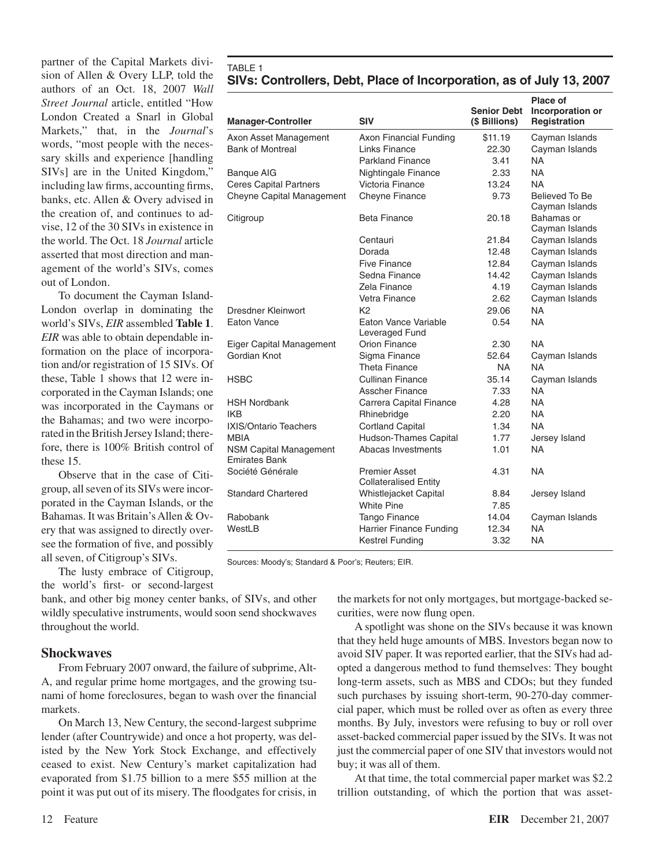partner of the Capital Markets division of Allen & Overy LLP, told the authors of an Oct. 18, 2007 *Wall Street Journal* article, entitled "How London Created a Snarl in Global Markets," that, in the *Journal*'s words, "most people with the necessary skills and experience [handling SIVs] are in the United Kingdom," including law firms, accounting firms, banks, etc. Allen & Overy advised in the creation of, and continues to advise, 12 of the 30 SIVs in existence in the world. The Oct. 18 *Journal* article asserted that most direction and management of the world's SIVs, comes out of London.

To document the Cayman Island-London overlap in dominating the world's SIVs, *EIR* assembled **Table 1**. *EIR* was able to obtain dependable information on the place of incorporation and/or registration of 15 SIVs. Of these, Table 1 shows that 12 were incorporated in the Cayman Islands; one was incorporated in the Caymans or the Bahamas; and two were incorporated in the British Jersey Island; therefore, there is 100% British control of these 15.

Observe that in the case of Citigroup, all seven of its SIVs were incorporated in the Cayman Islands, or the Bahamas. It was Britain's Allen & Overy that was assigned to directly oversee the formation of five, and possibly all seven, of Citigroup's SIVs.

The lusty embrace of Citigroup, the world's first- or second-largest

bank, and other big money center banks, of SIVs, and other wildly speculative instruments, would soon send shockwaves throughout the world.

#### **Shockwaves**

From February 2007 onward, the failure of subprime, Alt-A, and regular prime home mortgages, and the growing tsunami of home foreclosures, began to wash over the financial markets.

On March 13, New Century, the second-largest subprime lender (after Countrywide) and once a hot property, was delisted by the New York Stock Exchange, and effectively ceased to exist. New Century's market capitalization had evaporated from \$1.75 billion to a mere \$55 million at the point it was put out of its misery. The floodgates for crisis, in

#### TABLE 1 **SIVs: Controllers, Debt, Place of Incorporation, as of July 13, 2007**

|                                                       | <b>SIV</b>                                           | <b>Senior Debt</b><br>(\$ Billions) | Place of<br>Incorporation or<br>Registration |
|-------------------------------------------------------|------------------------------------------------------|-------------------------------------|----------------------------------------------|
| <b>Manager-Controller</b>                             |                                                      |                                     |                                              |
| Axon Asset Management                                 | Axon Financial Funding                               | \$11.19                             | Cayman Islands                               |
| <b>Bank of Montreal</b>                               | Links Finance                                        | 22.30                               | Cayman Islands                               |
|                                                       | <b>Parkland Finance</b>                              | 3.41                                | NA.                                          |
| <b>Banque AIG</b>                                     | Nightingale Finance                                  | 2.33                                | NA.                                          |
| <b>Ceres Capital Partners</b>                         | Victoria Finance                                     | 13.24                               | <b>NA</b>                                    |
| Cheyne Capital Management                             | <b>Cheyne Finance</b>                                | 9.73                                | <b>Believed To Be</b><br>Cayman Islands      |
| Citigroup                                             | <b>Beta Finance</b>                                  | 20.18                               | Bahamas or<br>Cayman Islands                 |
|                                                       | Centauri                                             | 21.84                               | Cayman Islands                               |
|                                                       | Dorada                                               | 12.48                               | Cayman Islands                               |
|                                                       | <b>Five Finance</b>                                  | 12.84                               | Cayman Islands                               |
|                                                       | Sedna Finance                                        | 14.42                               | Cayman Islands                               |
|                                                       | Zela Finance                                         | 4.19                                | Cayman Islands                               |
|                                                       | Vetra Finance                                        | 2.62                                | Cayman Islands                               |
| Dresdner Kleinwort                                    | K <sub>2</sub>                                       | 29.06                               | NA.                                          |
| Eaton Vance                                           | Eaton Vance Variable<br>Leveraged Fund               | 0.54                                | <b>NA</b>                                    |
| Eiger Capital Management                              | Orion Finance                                        | 2.30                                | NA.                                          |
| Gordian Knot                                          | Sigma Finance                                        | 52.64                               | Cayman Islands                               |
|                                                       | Theta Finance                                        | NA.                                 | <b>NA</b>                                    |
| HSBC                                                  | Cullinan Finance                                     | 35.14                               | Cayman Islands                               |
|                                                       | <b>Asscher Finance</b>                               | 7.33                                | NA.                                          |
| <b>HSH Nordbank</b>                                   | Carrera Capital Finance                              | 4.28                                | NA.                                          |
| <b>IKB</b>                                            | Rhinebridge                                          | 2.20                                | <b>NA</b>                                    |
| IXIS/Ontario Teachers                                 | <b>Cortland Capital</b>                              | 1.34                                | NA.                                          |
| <b>MBIA</b>                                           | <b>Hudson-Thames Capital</b>                         | 1.77                                | Jersey Island                                |
| <b>NSM Capital Management</b><br><b>Emirates Bank</b> | Abacas Investments                                   | 1.01                                | <b>NA</b>                                    |
| Société Générale                                      | <b>Premier Asset</b><br><b>Collateralised Entity</b> | 4.31                                | <b>NA</b>                                    |
| <b>Standard Chartered</b>                             | Whistlejacket Capital<br><b>White Pine</b>           | 8.84<br>7.85                        | Jersey Island                                |
| Rabobank                                              | <b>Tango Finance</b>                                 | 14.04                               | Cayman Islands                               |
| WestLB                                                | Harrier Finance Funding                              | 12.34                               | NA.                                          |
|                                                       | <b>Kestrel Funding</b>                               | 3.32                                | <b>NA</b>                                    |

Sources: Moody's; Standard & Poor's; Reuters; EIR.

the markets for not only mortgages, but mortgage-backed securities, were now flung open.

A spotlight was shone on the SIVs because it was known that they held huge amounts of MBS. Investors began now to avoid SIV paper. It was reported earlier, that the SIVs had adopted a dangerous method to fund themselves: They bought long-term assets, such as MBS and CDOs; but they funded such purchases by issuing short-term, 90-270-day commercial paper, which must be rolled over as often as every three months. By July, investors were refusing to buy or roll over asset-backed commercial paper issued by the SIVs. It was not just the commercial paper of one SIV that investors would not buy; it was all of them.

At that time, the total commercial paper market was \$2.2 trillion outstanding, of which the portion that was asset